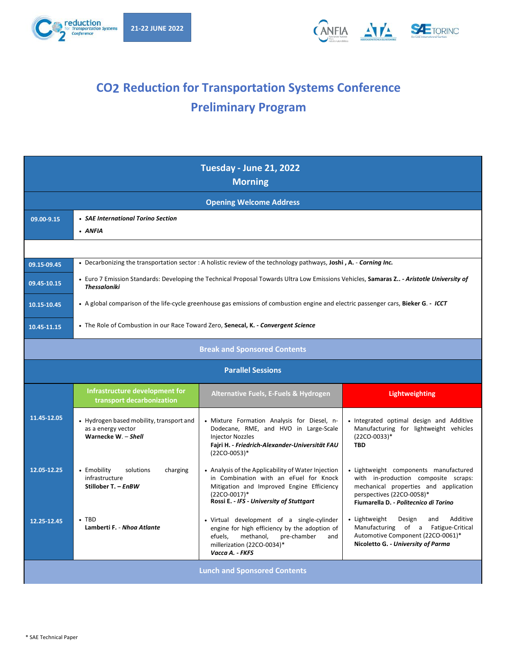



## **CO2 Reduction for Transportation Systems Conference Preliminary Program**

|             |                                                                                       | <b>Tuesday - June 21, 2022</b><br><b>Morning</b>                                                                                                                                                      |                                                                                                                                                                                              |  |
|-------------|---------------------------------------------------------------------------------------|-------------------------------------------------------------------------------------------------------------------------------------------------------------------------------------------------------|----------------------------------------------------------------------------------------------------------------------------------------------------------------------------------------------|--|
|             |                                                                                       | <b>Opening Welcome Address</b>                                                                                                                                                                        |                                                                                                                                                                                              |  |
| 09.00-9.15  | • SAE International Torino Section<br>• ANFIA                                         |                                                                                                                                                                                                       |                                                                                                                                                                                              |  |
|             |                                                                                       |                                                                                                                                                                                                       |                                                                                                                                                                                              |  |
| 09.15-09.45 |                                                                                       | . Decarbonizing the transportation sector : A holistic review of the technology pathways, Joshi, A. - Corning Inc.                                                                                    |                                                                                                                                                                                              |  |
| 09.45-10.15 | <b>Thessaloniki</b>                                                                   | • Euro 7 Emission Standards: Developing the Technical Proposal Towards Ultra Low Emissions Vehicles, Samaras Z. - Aristotle University of                                                             |                                                                                                                                                                                              |  |
| 10.15-10.45 |                                                                                       | • A global comparison of the life-cycle greenhouse gas emissions of combustion engine and electric passenger cars, Bieker G. - ICCT                                                                   |                                                                                                                                                                                              |  |
| 10.45-11.15 | • The Role of Combustion in our Race Toward Zero, Senecal, K. - Convergent Science    |                                                                                                                                                                                                       |                                                                                                                                                                                              |  |
|             |                                                                                       | <b>Break and Sponsored Contents</b>                                                                                                                                                                   |                                                                                                                                                                                              |  |
|             |                                                                                       | <b>Parallel Sessions</b>                                                                                                                                                                              |                                                                                                                                                                                              |  |
|             | Infrastructure development for<br>transport decarbonization                           | <b>Alternative Fuels, E-Fuels &amp; Hydrogen</b>                                                                                                                                                      | <b>Lightweighting</b>                                                                                                                                                                        |  |
| 11.45-12.05 | • Hydrogen based mobility, transport and<br>as a energy vector<br>Warnecke W. - Shell | • Mixture Formation Analysis for Diesel, n-<br>Dodecane, RME, and HVO in Large-Scale<br><b>Injector Nozzles</b><br>Fajri H. - Friedrich-Alexander-Universität FAU<br>$(22CO-0053)*$                   | · Integrated optimal design and Additive<br>Manufacturing for lightweight vehicles<br>(22CO-0033)*<br><b>TBD</b>                                                                             |  |
| 12.05-12.25 | • Emobility<br>solutions<br>charging<br>infrastructure<br>Stillober T. - EnBW         | • Analysis of the Applicability of Water Injection<br>in Combination with an eFuel for Knock<br>Mitigation and Improved Engine Efficiency<br>(22CO-0017)*<br>Rossi E. - IFS - University of Stuttgart | · Lightweight components manufactured<br>with in-production composite scraps:<br>mechanical properties and application<br>perspectives (22CO-0058)*<br>Fiumarella D. - Politecnico di Torino |  |
| 12.25-12.45 | $\cdot$ TRD<br>Lamberti F. - Nhoa Atlante                                             | · Virtual development of a single-cylinder<br>engine for high efficiency by the adoption of<br>methanol,<br>pre-chamber<br>efuels.<br>and<br>millerization (22CO-0034)*<br>Vacca A. - FKFS            | • Lightweight<br>Design<br>Additive<br>and<br>Manufacturing of a Fatigue-Critical<br>Automotive Component (22CO-0061)*<br>Nicoletto G. - University of Parma                                 |  |
|             |                                                                                       | <b>Lunch and Sponsored Contents</b>                                                                                                                                                                   |                                                                                                                                                                                              |  |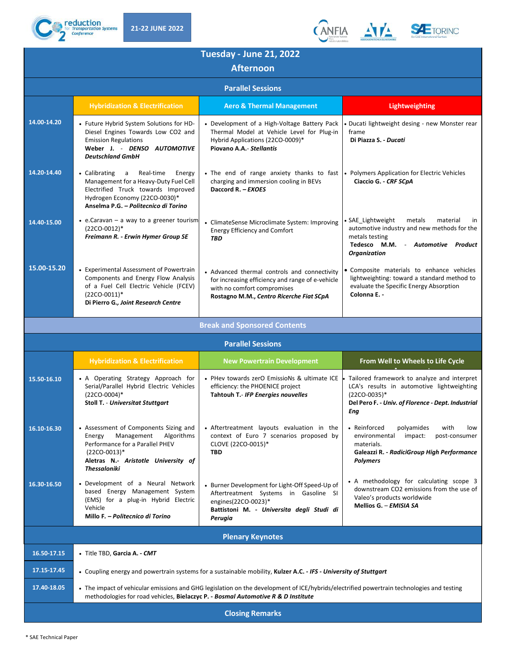





|             |                                                                                                                                                                                                   | <b>Tuesday - June 21, 2022</b><br><b>Afternoon</b>                                                                                                                                                                             |                                                                                                                                                                          |
|-------------|---------------------------------------------------------------------------------------------------------------------------------------------------------------------------------------------------|--------------------------------------------------------------------------------------------------------------------------------------------------------------------------------------------------------------------------------|--------------------------------------------------------------------------------------------------------------------------------------------------------------------------|
|             |                                                                                                                                                                                                   | <b>Parallel Sessions</b>                                                                                                                                                                                                       |                                                                                                                                                                          |
|             | <b>Hybridization &amp; Electrification</b>                                                                                                                                                        | <b>Aero &amp; Thermal Management</b>                                                                                                                                                                                           | <b>Lightweighting</b>                                                                                                                                                    |
| 14.00-14.20 | • Future Hybrid System Solutions for HD-<br>Diesel Engines Towards Low CO2 and<br><b>Emission Regulations</b><br>Weber J. - DENSO AUTOMOTIVE<br><b>Deutschland GmbH</b>                           | • Development of a High-Voltage Battery Pack<br>Thermal Model at Vehicle Level for Plug-in<br>Hybrid Applications (22CO-0009)*<br>Piovano A.A.- Stellantis                                                                     | Ducati lightweight desing - new Monster rear<br>frame<br>Di Piazza S. - Ducati                                                                                           |
| 14.20-14.40 | • Calibrating<br>Real-time<br>Energy<br>a<br>Management for a Heavy-Duty Fuel Cell<br>Electrified Truck towards Improved<br>Hydrogen Economy (22CO-0030)*<br>Anselma P.G. - Politecnico di Torino | . The end of range anxiety thanks to fast<br>charging and immersion cooling in BEVs<br>Daccord R. - EXOES                                                                                                                      | • Polymers Application for Electric Vehicles<br>Ciaccio G. - CRF SCpA                                                                                                    |
| 14.40-15.00 | • e.Caravan - a way to a greener tourism<br>$(22CO-0012)*$<br>Freimann R. - Erwin Hymer Group SE                                                                                                  | • ClimateSense Microclimate System: Improving<br><b>Energy Efficiency and Comfort</b><br><b>TBD</b>                                                                                                                            | • SAE_Lightweight<br>metals<br>material<br>in<br>automotive industry and new methods for the<br>metals testing<br>Tedesco M.M. - Automotive Product<br>Organization      |
| 15.00-15.20 | • Experimental Assessment of Powertrain<br>Components and Energy Flow Analysis<br>of a Fuel Cell Electric Vehicle (FCEV)<br>$(22CO-0011)^*$<br>Di Pierro G., Joint Research Centre                | • Advanced thermal controls and connectivity<br>for increasing efficiency and range of e-vehicle<br>with no comfort compromises<br>Rostagno M.M., Centro Ricerche Fiat SCpA                                                    | • Composite materials to enhance vehicles<br>lightweighting: toward a standard method to<br>evaluate the Specific Energy Absorption<br>Colonna E.                        |
|             |                                                                                                                                                                                                   | <b>Break and Sponsored Contents</b>                                                                                                                                                                                            |                                                                                                                                                                          |
|             |                                                                                                                                                                                                   | <b>Parallel Sessions</b>                                                                                                                                                                                                       |                                                                                                                                                                          |
|             |                                                                                                                                                                                                   |                                                                                                                                                                                                                                |                                                                                                                                                                          |
|             | <b>Hybridization &amp; Electrification</b>                                                                                                                                                        | <b>New Powertrain Development</b>                                                                                                                                                                                              | From Well to Wheels to Life Cycle                                                                                                                                        |
| 15.50-16.10 | • A Operating Strategy Approach for<br>Serial/Parallel Hybrid Electric Vehicles<br>$(22CO-0004)*$<br><b>Stoll T. - Universitat Stuttgart</b>                                                      | • PHev towards zerO EmissioNs & ultimate ICE<br>efficiency: the PHOENICE project<br>Tahtouh T.- IFP Energies nouvelles                                                                                                         | Tailored framework to analyze and interpret<br>LCA's results in automotive lightweighting<br>$(22CO-0035)*$<br>Del Pero F. - Univ. of Florence - Dept. Industrial<br>Eng |
| 16.10-16.30 | • Assessment of Components Sizing and<br>Energy Management Algorithms<br>Performance for a Parallel PHEV<br>$(22CO-0013)*$<br>Aletras N. Aristotle University of<br>Thessaloniki                  | • Aftertreatment layouts evaluation in the<br>context of Euro 7 scenarios proposed by<br>CLOVE (22CO-0015)*<br>TBD                                                                                                             | • Reinforced polyamides<br>with<br>low<br>environmental impact: post-consumer<br>materials.<br>Galeazzi R. - RadiciGroup High Performance<br><b>Polymers</b>             |
| 16.30-16.50 | • Development of a Neural Network<br>based Energy Management System<br>(EMS) for a plug-in Hybrid Electric<br>Vehicle<br>Millo F. - Politecnico di Torino                                         | • Burner Development for Light-Off Speed-Up of<br>Aftertreatment Systems in Gasoline SI<br>engines(22CO-0023)*<br>Battistoni M. - Universita degli Studi di<br>Perugia                                                         | • A methodology for calculating scope 3<br>downstream CO2 emissions from the use of<br>Valeo's products worldwide<br>Mellios G. - EMISIA SA                              |
|             |                                                                                                                                                                                                   | <b>Plenary Keynotes</b>                                                                                                                                                                                                        |                                                                                                                                                                          |
| 16.50-17.15 | • Title TBD, Garcia A. - CMT                                                                                                                                                                      |                                                                                                                                                                                                                                |                                                                                                                                                                          |
| 17.15-17.45 |                                                                                                                                                                                                   | • Coupling energy and powertrain systems for a sustainable mobility, Kulzer A.C. - IFS - University of Stuttgart                                                                                                               |                                                                                                                                                                          |
| 17.40-18.05 |                                                                                                                                                                                                   | • The impact of vehicular emissions and GHG legislation on the development of ICE/hybrids/electrified powertrain technologies and testing<br>methodologies for road vehicles, Bielaczyc P. - Bosmal Automotive R & D Institute |                                                                                                                                                                          |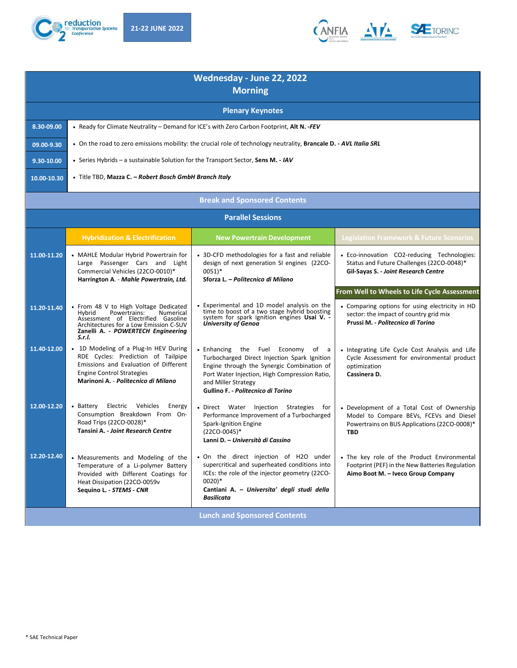



|             |                                                                                                                                                                                                              | Wednesday - June 22, 2022<br><b>Morning</b>                                                                                                                                                                                                         |                                                                                                                                                     |
|-------------|--------------------------------------------------------------------------------------------------------------------------------------------------------------------------------------------------------------|-----------------------------------------------------------------------------------------------------------------------------------------------------------------------------------------------------------------------------------------------------|-----------------------------------------------------------------------------------------------------------------------------------------------------|
|             |                                                                                                                                                                                                              | <b>Plenary Keynotes</b>                                                                                                                                                                                                                             |                                                                                                                                                     |
| 8.30-09.00  |                                                                                                                                                                                                              | • Ready for Climate Neutrality - Demand for ICE's with Zero Carbon Footprint, Alt N. -FEV                                                                                                                                                           |                                                                                                                                                     |
| 09.00-9.30  |                                                                                                                                                                                                              | • On the road to zero emissions mobility: the crucial role of technology neutrality, Brancale D. - AVL Italia SRL                                                                                                                                   |                                                                                                                                                     |
| 9.30-10.00  | • Series Hybrids - a sustainable Solution for the Transport Sector, Sens M. - IAV                                                                                                                            |                                                                                                                                                                                                                                                     |                                                                                                                                                     |
| 10.00-10.30 | • Title TBD, Mazza C. - Robert Bosch GmbH Branch Italy                                                                                                                                                       |                                                                                                                                                                                                                                                     |                                                                                                                                                     |
|             |                                                                                                                                                                                                              | <b>Break and Sponsored Contents</b>                                                                                                                                                                                                                 |                                                                                                                                                     |
|             |                                                                                                                                                                                                              | <b>Parallel Sessions</b>                                                                                                                                                                                                                            |                                                                                                                                                     |
|             | <b>Hybridization &amp; Electrification</b>                                                                                                                                                                   | <b>New Powertrain Development</b>                                                                                                                                                                                                                   | <b>Legislation Framework &amp; Future Scenarios</b>                                                                                                 |
| 11.00-11.20 | • MAHLE Modular Hybrid Powertrain for<br>Large Passenger Cars and Light<br>Commercial Vehicles (22CO-0010)*<br>Harrington A. - Mahle Powertrain, Ltd.                                                        | • 3D-CFD methodologies for a fast and reliable<br>design of next generation SI engines (22CO-<br>$0051$ <sup>*</sup><br>Sforza L. - Politecnico di Milano                                                                                           | • Eco-innovation CO2-reducing Technologies:<br>Status and Future Challenges (22CO-0048)*<br>Gil-Sayas S. - Joint Research Centre                    |
|             |                                                                                                                                                                                                              |                                                                                                                                                                                                                                                     | From Well to Wheels to Life Cycle Assessment                                                                                                        |
| 11.20-11.40 | • From 48 V to High Voltage Dedicated<br>Powertrains:<br>Numerical<br>Hvbrid<br>Assessment of Electrified Gasoline<br>Architectures for a Low Emission C-SUV<br>Zanelli A. - POWERTECH Engineering<br>S.r.l. | • Experimental and 1D model analysis on the<br>time to boost of a two stage hybrid boosting<br>system for spark ignition engines Usai V. -<br>University of Genoa                                                                                   | • Comparing options for using electricity in HD<br>sector: the impact of country grid mix<br>Prussi M. - Politecnico di Torino                      |
| 11.40-12.00 | • 1D Modeling of a Plug-In HEV During<br>RDE Cycles: Prediction of Tailpipe<br>Emissions and Evaluation of Different<br><b>Engine Control Strategies</b><br>Marinoni A. - Politecnico di Milano              | • Enhancing the Fuel<br>Economy<br>of a<br>Turbocharged Direct Injection Spark Ignition<br>Engine through the Synergic Combination of<br>Port Water Injection, High Compression Ratio,<br>and Miller Strategy<br>Gullino F. - Politecnico di Torino | • Integrating Life Cycle Cost Analysis and Life<br>Cycle Assessment for environmental product<br>optimization<br>Cassinera D.                       |
| 12.00-12.20 | Electric Vehicles<br>• Battery<br>Energy<br>Consumption Breakdown From On-<br>Road Trips (22CO-0028)*<br>Tansini A. - Joint Research Centre                                                                  | • Direct Water Injection Strategies<br>for<br>Performance Improvement of a Turbocharged<br>Spark-Ignition Engine<br>(22CO-0045)*<br>Lanni D. - Università di Cassino                                                                                | • Development of a Total Cost of Ownership<br>Model to Compare BEVs, FCEVs and Diesel<br>Powertrains on BUS Applications (22CO-0008)*<br><b>TBD</b> |
| 12.20-12.40 | • Measurements and Modeling of the<br>Temperature of a Li-polymer Battery<br>Provided with Different Coatings for<br>Heat Dissipation (22CO-0059v<br>Sequino L. - STEMS - CNR                                | • On the direct injection of H2O under<br>supercritical and superheated conditions into<br>ICEs: the role of the injector geometry (22CO-<br>$0020$ <sup>*</sup><br>Cantiani A. - Universita' degli studi della<br><b>Basilicata</b>                | • The key role of the Product Environmental<br>Footprint (PEF) in the New Batteries Regulation<br>Aimo Boot M. - Iveco Group Company                |
|             |                                                                                                                                                                                                              | <b>Lunch and Sponsored Contents</b>                                                                                                                                                                                                                 |                                                                                                                                                     |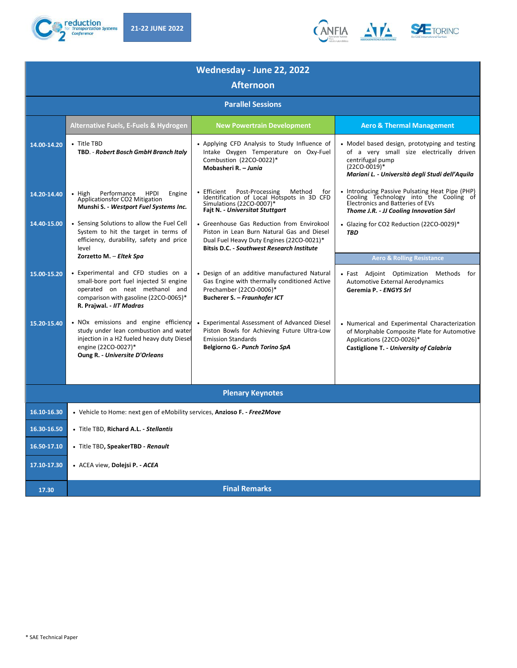



| Wednesday - June 22, 2022<br><b>Afternoon</b> |                                                                                                                                                                                       |                                                                                                                                                                                     |                                                                                                                                                                                    |  |
|-----------------------------------------------|---------------------------------------------------------------------------------------------------------------------------------------------------------------------------------------|-------------------------------------------------------------------------------------------------------------------------------------------------------------------------------------|------------------------------------------------------------------------------------------------------------------------------------------------------------------------------------|--|
|                                               |                                                                                                                                                                                       |                                                                                                                                                                                     |                                                                                                                                                                                    |  |
|                                               | <b>Alternative Fuels, E-Fuels &amp; Hydrogen</b>                                                                                                                                      | <b>New Powertrain Development</b>                                                                                                                                                   | <b>Aero &amp; Thermal Management</b>                                                                                                                                               |  |
| 14.00-14.20                                   | • Title TBD<br>TBD. - Robert Bosch GmbH Branch Italy                                                                                                                                  | • Applying CFD Analysis to Study Influence of<br>Intake Oxygen Temperature on Oxy-Fuel<br>Combustion (22CO-0022)*<br>Mobasheri R. - Junia                                           | • Model based design, prototyping and testing<br>of a very small size electrically driven<br>centrifugal pump<br>$(22CO-0019)*$<br>Mariani L. - Università degli Studi dell'Aguila |  |
| 14.20-14.40                                   | $\bullet$ High<br>Performance HPDI<br>Engine<br>Applicationsfor CO2 Mitigation<br>Munshi S. - Westport Fuel Systems Inc.                                                              | • Efficient  Post-Processing  Method<br>for<br>Identification of Local Hotspots in 3D CFD<br>Simulations (22CO-0007)*<br>Fajt N. - Universitat Stuttgart                            | • Introducing Passive Pulsating Heat Pipe (PHP)<br>Cooling Technology into the Cooling of<br>Electronics and Batteries of EVs<br>Thome J.R. - JJ Cooling Innovation Sàrl           |  |
| 14.40-15.00                                   | • Sensing Solutions to allow the Fuel Cell<br>System to hit the target in terms of<br>efficiency, durability, safety and price<br>level<br>Zorzetto M. - Eltek Spa                    | • Greenhouse Gas Reduction from Envirokool<br>Piston in Lean Burn Natural Gas and Diesel<br>Dual Fuel Heavy Duty Engines (22CO-0021)*<br>Bitsis D.C. - Southwest Research Institute | Glazing for CO2 Reduction (22CO-0029)*<br><b>TBD</b><br><b>Aero &amp; Rolling Resistance</b>                                                                                       |  |
| 15.00-15.20                                   | • Experimental and CFD studies on a<br>small-bore port fuel injected SI engine<br>operated on neat methanol and<br>comparison with gasoline (22CO-0065)*<br>R. Prajwal. - IIT Madras  | • Design of an additive manufactured Natural<br>Gas Engine with thermally conditioned Active<br>Prechamber (22CO-0006)*<br>Bucherer S. - Fraunhofer ICT                             | · Fast Adjoint Optimization Methods for<br>Automotive External Aerodynamics<br>Geremia P. - ENGYS Srl                                                                              |  |
| 15.20-15.40                                   | • NOx emissions and engine efficiency<br>study under lean combustion and water<br>injection in a H2 fueled heavy duty Diesel<br>engine (22CO-0027)*<br>Oung R. - Universite D'Orleans | • Experimental Assessment of Advanced Diesel<br>Piston Bowls for Achieving Future Ultra-Low<br><b>Emission Standards</b><br>Belgiorno G.- Punch Torino SpA                          | • Numerical and Experimental Characterization<br>of Morphable Composite Plate for Automotive<br>Applications (22CO-0026)*<br>Castiglione T. - University of Calabria               |  |
|                                               |                                                                                                                                                                                       | <b>Plenary Keynotes</b>                                                                                                                                                             |                                                                                                                                                                                    |  |
| 16.10-16.30                                   | • Vehicle to Home: next gen of eMobility services, Anzioso F. - Free2Move                                                                                                             |                                                                                                                                                                                     |                                                                                                                                                                                    |  |
| 16.30-16.50                                   | • Title TBD, Richard A.L. - Stellantis                                                                                                                                                |                                                                                                                                                                                     |                                                                                                                                                                                    |  |
| 16.50-17.10                                   | · Title TBD, SpeakerTBD - Renault                                                                                                                                                     |                                                                                                                                                                                     |                                                                                                                                                                                    |  |
| 17.10-17.30                                   | · ACEA view, Dolejsi P. - ACEA                                                                                                                                                        |                                                                                                                                                                                     |                                                                                                                                                                                    |  |
| 17.30                                         |                                                                                                                                                                                       | <b>Final Remarks</b>                                                                                                                                                                |                                                                                                                                                                                    |  |